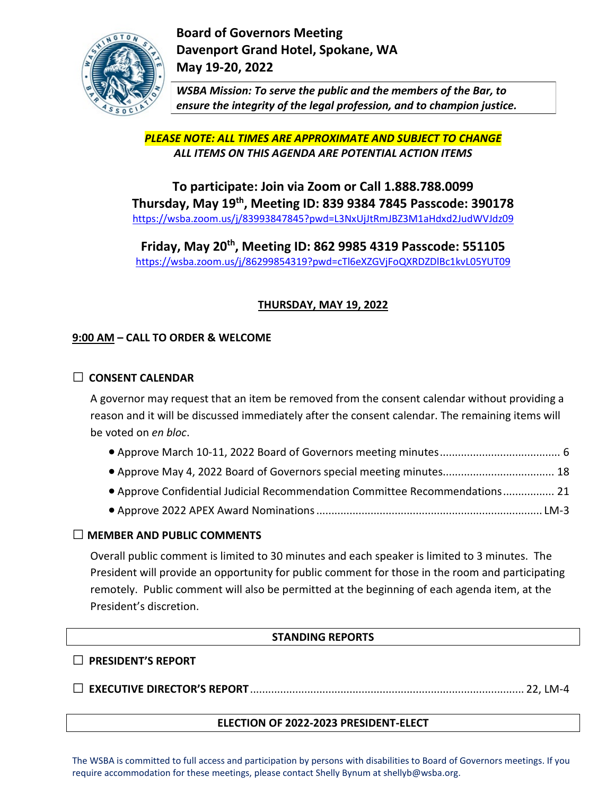

**Board of Governors Meeting Davenport Grand Hotel, Spokane, WA May 19-20, 2022**

*WSBA Mission: To serve the public and the members of the Bar, to ensure the integrity of the legal profession, and to champion justice.*

*PLEASE NOTE: ALL TIMES ARE APPROXIMATE AND SUBJECT TO CHANGE ALL ITEMS ON THIS AGENDA ARE POTENTIAL ACTION ITEMS*

**To participate: Join via Zoom or Call 1.888.788.0099 Thursday, May 19th, Meeting ID: 839 9384 7845 Passcode: 390178** [https://wsba.zoom.us/j/83993847845?pwd=L3NxUjJtRmJBZ3M1aHdxd2JudWVJdz09](https://gcc02.safelinks.protection.outlook.com/?url=https%3A%2F%2Fwsba.zoom.us%2Fj%2F83993847845%3Fpwd%3DL3NxUjJtRmJBZ3M1aHdxd2JudWVJdz09&data=04%7C01%7CShellyb%40wsba.org%7C5f52b58df56848afee6608da2192e0bf%7C70ff1cc281ea46819fc9079ce419e302%7C0%7C0%7C637859211965738794%7CUnknown%7CTWFpbGZsb3d8eyJWIjoiMC4wLjAwMDAiLCJQIjoiV2luMzIiLCJBTiI6Ik1haWwiLCJXVCI6Mn0%3D%7C3000&sdata=u940imSGovsnkp4ZajTydrpb%2FWFDw%2FeiozotB3OCKZA%3D&reserved=0)

**Friday, May 20th, Meeting ID: 862 9985 4319 Passcode: 551105** [https://wsba.zoom.us/j/86299854319?pwd=cTl6eXZGVjFoQXRDZDlBc1kvL05YUT09](https://gcc02.safelinks.protection.outlook.com/?url=https%3A%2F%2Fwsba.zoom.us%2Fj%2F86299854319%3Fpwd%3DcTl6eXZGVjFoQXRDZDlBc1kvL05YUT09&data=04%7C01%7CShellyb%40wsba.org%7C5f52b58df56848afee6608da2192e0bf%7C70ff1cc281ea46819fc9079ce419e302%7C0%7C0%7C637859211965738794%7CUnknown%7CTWFpbGZsb3d8eyJWIjoiMC4wLjAwMDAiLCJQIjoiV2luMzIiLCJBTiI6Ik1haWwiLCJXVCI6Mn0%3D%7C3000&sdata=58Iwq8j56Vb2mm86DmLJpBKdAmlDkqpljLb1e3Yc7WI%3D&reserved=0)

# **THURSDAY, MAY 19, 2022**

## **9:00 AM – CALL TO ORDER & WELCOME**

## **□ CONSENT CALENDAR**

A governor may request that an item be removed from the consent calendar without providing a reason and it will be discussed immediately after the consent calendar. The remaining items will be voted on *en bloc*.

|--|--|

- Approve May 4, 2022 Board of Governors special meeting minutes..................................... 18
- Approve Confidential Judicial Recommendation Committee Recommendations................. 21
- Approve 2022 APEX Award Nominations........................................................................... LM-3

### **□ MEMBER AND PUBLIC COMMENTS**

Overall public comment is limited to 30 minutes and each speaker is limited to 3 minutes. The President will provide an opportunity for public comment for those in the room and participating remotely. Public comment will also be permitted at the beginning of each agenda item, at the President's discretion.

## **STANDING REPORTS**

### **□ PRESIDENT'S REPORT**

**□ EXECUTIVE DIRECTOR'S REPORT**........................................................................................... 22, LM-4

## **ELECTION OF 2022-2023 PRESIDENT-ELECT**

The WSBA is committed to full access and participation by persons with disabilities to Board of Governors meetings. If you require accommodation for these meetings, please contact Shelly Bynum at shellyb@wsba.org.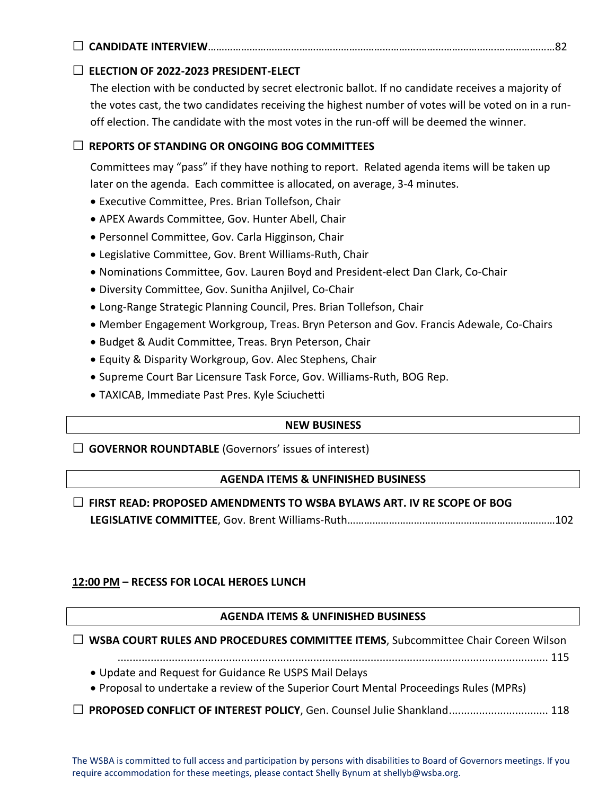# **□ CANDIDATE INTERVIEW**………………………………………………………………….……………………….…………………82

# **□ ELECTION OF 2022-2023 PRESIDENT-ELECT**

The election with be conducted by secret electronic ballot. If no candidate receives a majority of the votes cast, the two candidates receiving the highest number of votes will be voted on in a runoff election. The candidate with the most votes in the run-off will be deemed the winner.

## **□ REPORTS OF STANDING OR ONGOING BOG COMMITTEES**

Committees may "pass" if they have nothing to report. Related agenda items will be taken up later on the agenda. Each committee is allocated, on average, 3-4 minutes.

- Executive Committee, Pres. Brian Tollefson, Chair
- APEX Awards Committee, Gov. Hunter Abell, Chair
- Personnel Committee, Gov. Carla Higginson, Chair
- Legislative Committee, Gov. Brent Williams-Ruth, Chair
- Nominations Committee, Gov. Lauren Boyd and President-elect Dan Clark, Co-Chair
- Diversity Committee, Gov. Sunitha Anjilvel, Co-Chair
- Long-Range Strategic Planning Council, Pres. Brian Tollefson, Chair
- Member Engagement Workgroup, Treas. Bryn Peterson and Gov. Francis Adewale, Co-Chairs
- Budget & Audit Committee, Treas. Bryn Peterson, Chair
- Equity & Disparity Workgroup, Gov. Alec Stephens, Chair
- Supreme Court Bar Licensure Task Force, Gov. Williams-Ruth, BOG Rep.
- TAXICAB, Immediate Past Pres. Kyle Sciuchetti

#### **NEW BUSINESS**

**□ GOVERNOR ROUNDTABLE** (Governors' issues of interest)

### **AGENDA ITEMS & UNFINISHED BUSINESS**

# **□ FIRST READ: PROPOSED AMENDMENTS TO WSBA BYLAWS ART. IV RE SCOPE OF BOG LEGISLATIVE COMMITTEE**, Gov. Brent Williams-Ruth…………………………………………………………………102

### **12:00 PM – RECESS FOR LOCAL HEROES LUNCH**

### **AGENDA ITEMS & UNFINISHED BUSINESS**

**□ WSBA COURT RULES AND PROCEDURES COMMITTEE ITEMS**, Subcommittee Chair Coreen Wilson

............................................................................................................................................... 115

• Update and Request for Guidance Re USPS Mail Delays

• Proposal to undertake a review of the Superior Court Mental Proceedings Rules (MPRs)

### **□ PROPOSED CONFLICT OF INTEREST POLICY**, Gen. Counsel Julie Shankland................................. <sup>118</sup>

The WSBA is committed to full access and participation by persons with disabilities to Board of Governors meetings. If you require accommodation for these meetings, please contact Shelly Bynum at shellyb@wsba.org.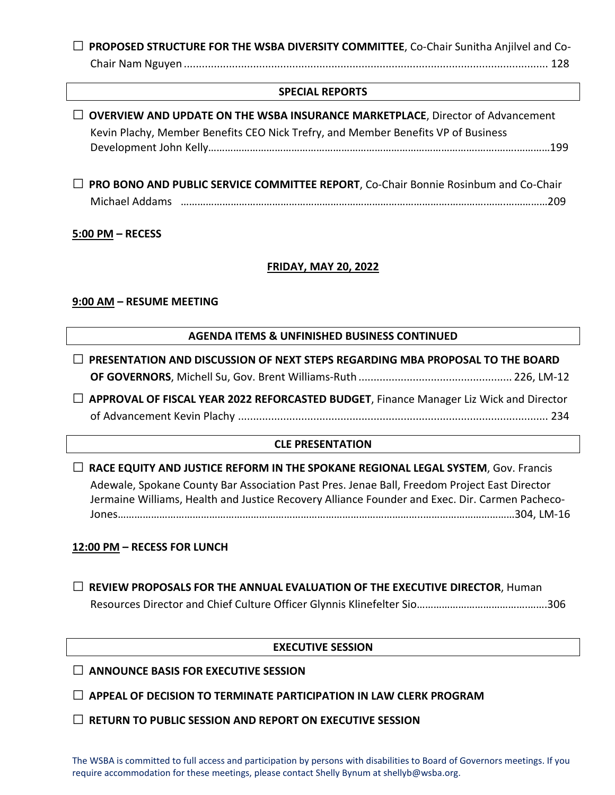| □ PROPOSED STRUCTURE FOR THE WSBA DIVERSITY COMMITTEE, Co-Chair Sunitha Anjilvel and Co- |  |
|------------------------------------------------------------------------------------------|--|
|                                                                                          |  |

#### **SPECIAL REPORTS**

| $\Box$ OVERVIEW AND UPDATE ON THE WSBA INSURANCE MARKETPLACE, Director of Advancement<br>Kevin Plachy, Member Benefits CEO Nick Trefry, and Member Benefits VP of Business                                                                                                                 |  |  |
|--------------------------------------------------------------------------------------------------------------------------------------------------------------------------------------------------------------------------------------------------------------------------------------------|--|--|
| $\Box$ PRO BONO AND PUBLIC SERVICE COMMITTEE REPORT, Co-Chair Bonnie Rosinbum and Co-Chair                                                                                                                                                                                                 |  |  |
| 5:00 PM - RECESS                                                                                                                                                                                                                                                                           |  |  |
| <b>FRIDAY, MAY 20, 2022</b>                                                                                                                                                                                                                                                                |  |  |
| 9:00 AM - RESUME MEETING                                                                                                                                                                                                                                                                   |  |  |
| <b>AGENDA ITEMS &amp; UNFINISHED BUSINESS CONTINUED</b>                                                                                                                                                                                                                                    |  |  |
| $\Box$ PRESENTATION AND DISCUSSION OF NEXT STEPS REGARDING MBA PROPOSAL TO THE BOARD                                                                                                                                                                                                       |  |  |
| □ APPROVAL OF FISCAL YEAR 2022 REFORCASTED BUDGET, Finance Manager Liz Wick and Director                                                                                                                                                                                                   |  |  |
| <b>CLE PRESENTATION</b>                                                                                                                                                                                                                                                                    |  |  |
| $\Box$ RACE EQUITY AND JUSTICE REFORM IN THE SPOKANE REGIONAL LEGAL SYSTEM, Gov. Francis<br>Adewale, Spokane County Bar Association Past Pres. Jenae Ball, Freedom Project East Director<br>Jermaine Williams, Health and Justice Recovery Alliance Founder and Exec. Dir. Carmen Pacheco- |  |  |
| 12:00 PM - RECESS FOR LUNCH                                                                                                                                                                                                                                                                |  |  |
| REVIEW PROPOSALS FOR THE ANNUAL EVALUATION OF THE EXECUTIVE DIRECTOR, Human                                                                                                                                                                                                                |  |  |

#### **EXECUTIVE SESSION**

## **□ ANNOUNCE BASIS FOR EXECUTIVE SESSION**

**□ APPEAL OF DECISION TO TERMINATE PARTICIPATION IN LAW CLERK PROGRAM** 

**□ RETURN TO PUBLIC SESSION AND REPORT ON EXECUTIVE SESSION**

The WSBA is committed to full access and participation by persons with disabilities to Board of Governors meetings. If you require accommodation for these meetings, please contact Shelly Bynum at shellyb@wsba.org.